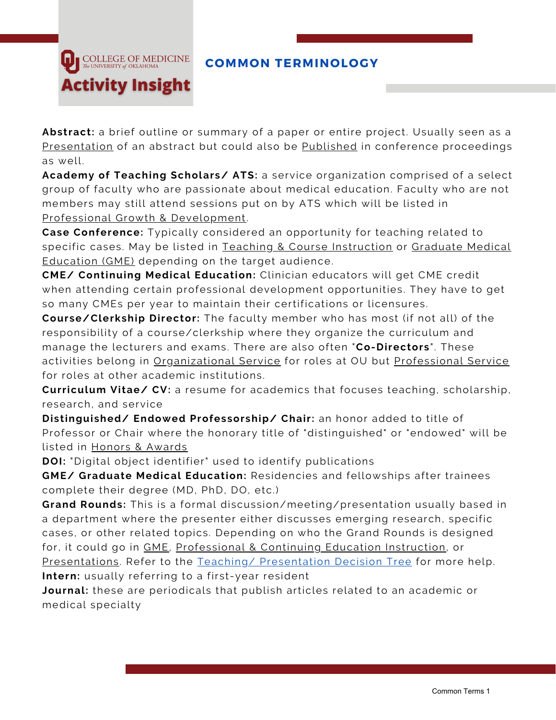

**Abstract:** a brief outline or summary of a paper or entire project. Usually seen as a Presentation of an abstract but could also be Published in conference proceedings as well.

**Academy of Teaching Scholars/ ATS:** a service organization comprised of a select group of faculty who are passionate about medical education. Faculty who are not members may still attend sessions put on by ATS which will be listed in Professional Growth & Development.

**Case Conference:** Typically considered an opportunity for teaching related to specific cases. May be listed in Teaching & Course Instruction or Graduate Medical Education (GME) depending on the target audience.

**CME/ Continuing Medical Education:** Clinician educators will get CME credit when attending certain professional development opportunities. They have to get so many CMEs per year to maintain their certifications or licensures.

**Course/Clerkship Director:** The faculty member who has most (if not all) of the responsibility of a course/clerkship where they organize the curriculum and manage the lecturers and exams. There are also often "**Co-Directors**". These activities belong in Organizational Service for roles at OU but Professional Service for roles at other academic institutions.

**Curriculum Vitae/ CV:** a resume for academics that focuses teaching, scholarship, research, and service

**Distinguished/ Endowed Professorship/ Chair:** an honor added to title of Professor or Chair where the honorary title of "distinguished" or "endowed" will be listed in Honors & Awards

**DOI:** "Digital object identifier" used to identify publications

**COLLEGE OF MEDICINE** The UNIVERSITY of OKLAHOM/

**Activity Insight** 

**GME/ Graduate Medical Education:** Residencies and fellowships after trainees complete their degree (MD, PhD, DO, etc.)

**Grand Rounds:** This is a formal discussion/meeting/presentation usually based in a department where the presenter either discusses emerging research, specific cases, or other related topics. Depending on who the Grand Rounds is designed for, it could go in GME, Professional & Continuing Education Instruction, or Presentations. Refer to the Teaching/ Presentation Decision Tree for more help. **Intern:** usually referring to a first-year resident

**Journal:** these are periodicals that publish articles related to an academic or medical specialty